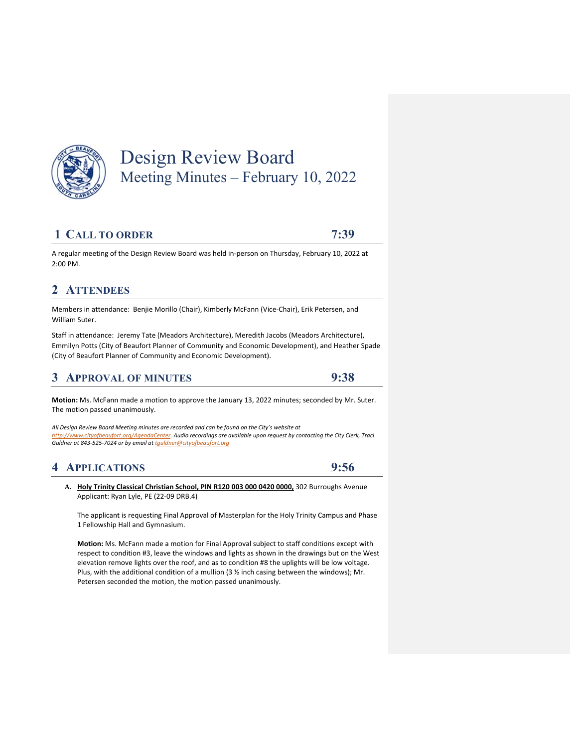

# Design Review Board Meeting Minutes – February 10, 2022

### **1 CALL TO ORDER 7:39**

A regular meeting of the Design Review Board was held in‐person on Thursday, February 10, 2022 at 2:00 PM.

## 2 ATTENDEES

Members in attendance: Benjie Morillo (Chair), Kimberly McFann (Vice‐Chair), Erik Petersen, and William Suter.

Staff in attendance: Jeremy Tate (Meadors Architecture), Meredith Jacobs (Meadors Architecture), Emmilyn Potts (City of Beaufort Planner of Community and Economic Development), and Heather Spade (City of Beaufort Planner of Community and Economic Development).

# **3 APPROVAL OF MINUTES 9:38**

**Motion:** Ms. McFann made a motion to approve the January 13, 2022 minutes; seconded by Mr. Suter. The motion passed unanimously.

*All Design Review Board Meeting minutes are recorded and can be found on the City's website at http://www.cityofbeaufort.org/AgendaCenter. Audio recordings are available upon request by contacting the City Clerk, Traci Guldner at 843‐525‐7024 or by email at tguldner@cityofbeaufort.org*

# **4 APPLICATIONS 9:56**

**A. Holy Trinity Classical Christian School, PIN R120 003 000 0420 0000,** 302 Burroughs Avenue Applicant: Ryan Lyle, PE (22‐09 DRB.4)

The applicant is requesting Final Approval of Masterplan for the Holy Trinity Campus and Phase 1 Fellowship Hall and Gymnasium.

**Motion:** Ms. McFann made a motion for Final Approval subject to staff conditions except with respect to condition #3, leave the windows and lights as shown in the drawings but on the West elevation remove lights over the roof, and as to condition #8 the uplights will be low voltage. Plus, with the additional condition of a mullion (3  $%$  inch casing between the windows); Mr. Petersen seconded the motion, the motion passed unanimously.